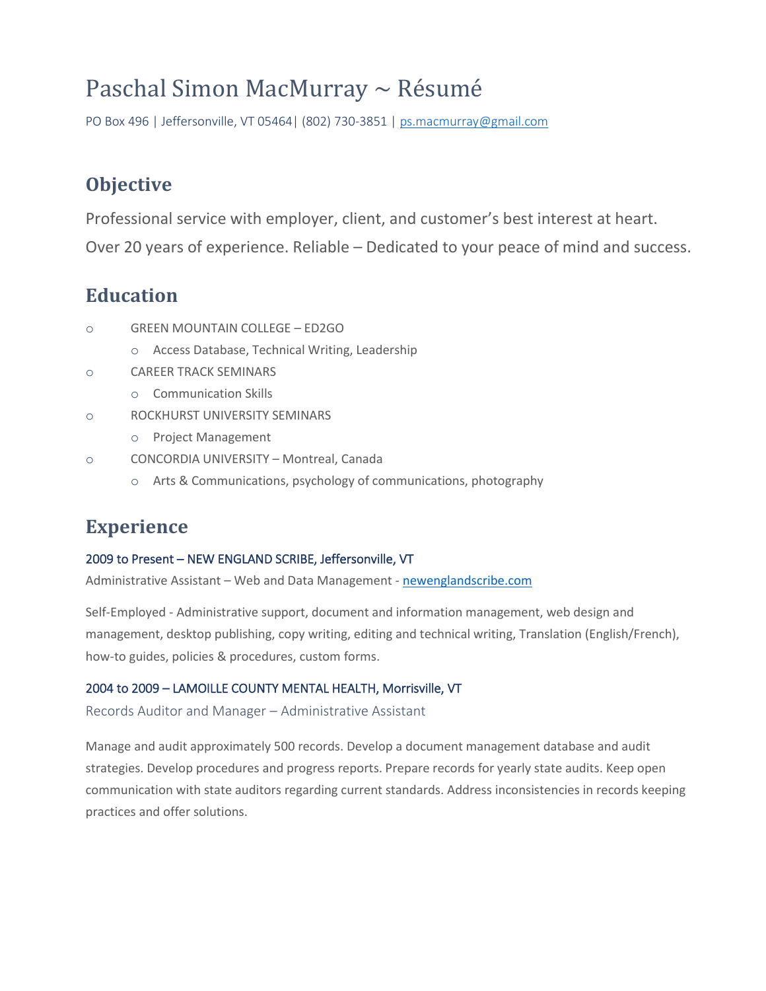# Paschal Simon MacMurray ~ Résumé

PO Box 496 | Jeffersonville, VT 05464| (802) 730-3851 [| ps.macmurray@gmail.com](mailto:ps.macmurray@gmail.com)

## **Objective**

Professional service with employer, client, and customer's best interest at heart.

Over 20 years of experience. Reliable – Dedicated to your peace of mind and success.

### **Education**

- o GREEN MOUNTAIN COLLEGE ED2GO
	- o Access Database, Technical Writing, Leadership
- o CAREER TRACK SEMINARS
	- o Communication Skills
- o ROCKHURST UNIVERSITY SEMINARS
	- o Project Management
- o CONCORDIA UNIVERSITY Montreal, Canada
	- o Arts & Communications, psychology of communications, photography

### **Experience**

#### 2009 to Present – NEW ENGLAND SCRIBE, Jeffersonville, VT

Administrative Assistant – Web and Data Management - [newenglandscribe.com](https://newenglandscribe.com/)

Self-Employed - Administrative support, document and information management, web design and management, desktop publishing, copy writing, editing and technical writing, Translation (English/French), how-to guides, policies & procedures, custom forms.

#### 2004 to 2009 – LAMOILLE COUNTY MENTAL HEALTH, Morrisville, VT

Records Auditor and Manager – Administrative Assistant

Manage and audit approximately 500 records. Develop a document management database and audit strategies. Develop procedures and progress reports. Prepare records for yearly state audits. Keep open communication with state auditors regarding current standards. Address inconsistencies in records keeping practices and offer solutions.